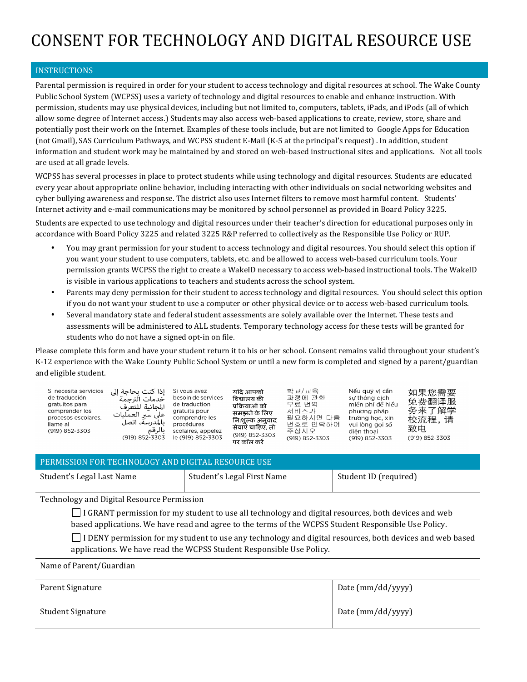# CONSENT FOR TECHNOLOGY AND DIGITAL RESOURCE USE

### INSTRUCTIONS

Parental permission is required in order for your student to access technology and digital resources at school. The Wake County Public School System (WCPSS) uses a variety of technology and digital resources to enable and enhance instruction. With permission, students may use physical devices, including but not limited to, computers, tablets, iPads, and iPods (all of which allow some degree of Internet access.) Students may also access web-based applications to create, review, store, share and potentially post their work on the Internet. Examples of these tools include, but are not limited to Google Apps for Education (not Gmail), SAS Curriculum Pathways, and WCPSS student E-Mail (K-5 at the principal's request). In addition, student information and student work may be maintained by and stored on web-based instructional sites and applications. Not all tools are used at all grade levels.

WCPSS has several processes in place to protect students while using technology and digital resources. Students are educated every year about appropriate online behavior, including interacting with other individuals on social networking websites and cyber bullying awareness and response. The district also uses Internet filters to remove most harmful content. Students' Internet activity and e-mail communications may be monitored by school personnel as provided in Board Policy 3225.

Students are expected to use technology and digital resources under their teacher's direction for educational purposes only in accordance with Board Policy 3225 and related 3225 R&P referred to collectively as the Responsible Use Policy or RUP.

- You may grant permission for your student to access technology and digital resources. You should select this option if you want your student to use computers, tablets, etc. and be allowed to access web-based curriculum tools. Your permission grants WCPSS the right to create a WakeID necessary to access web-based instructional tools. The WakeID is visible in various applications to teachers and students across the school system.
- Parents may deny permission for their student to access technology and digital resources. You should select this option if you do not want your student to use a computer or other physical device or to access web-based curriculum tools.
- Several mandatory state and federal student assessments are solely available over the Internet. These tests and assessments will be administered to ALL students. Temporary technology access for these tests will be granted for students who do not have a signed opt-in on file.

Please complete this form and have your student return it to his or her school. Consent remains valid throughout your student's K-12 experience with the Wake County Public School System or until a new form is completed and signed by a parent/guardian and eligible student.

| Si necesita servicios<br>de traducción<br>gratuitos para<br>comprender los<br>procesos escolares.<br>llame al<br>(919) 852-3303 | إذا كنت بحاجة إلى<br>خدمات الترحمة<br>المجانبة للتعرف<br>على سير العمليات<br>ِ بالمدرسة، اتصل<br>بالرقم<br>(919) 852-3303 | Si vous avez<br>besoin de services<br>de traduction<br>aratuits pour<br>comprendre les<br>procédures<br>scolaires, appelez<br>le (919) 852-3303 | यदि आपको<br>विद्यालय की<br>प्रक्रियाओं को<br>समझने के लिए<br>नि:शुल्क अनुवाद<br>सेवाएं चाहिए, तो<br>(919) 852-3303<br>पर कॉल करे | 학교/교육<br>과정에 관한<br>무류 번역<br>서비스가<br>필요하시면 다음<br>번호로 연락하여<br>주십시오<br>(919) 852-3303 | Nếu quý vi cần<br>sư thông dịch<br>miền phí để hiểu<br>phương pháp<br>trường học, xin<br>vui lòng goi số<br>điên thoai<br>(919) 852-3303 | 如果您需要<br>免费翻译服<br>务来了解学<br>校流程,请<br>致电<br>(919) 852-3303 |
|---------------------------------------------------------------------------------------------------------------------------------|---------------------------------------------------------------------------------------------------------------------------|-------------------------------------------------------------------------------------------------------------------------------------------------|----------------------------------------------------------------------------------------------------------------------------------|------------------------------------------------------------------------------------|------------------------------------------------------------------------------------------------------------------------------------------|----------------------------------------------------------|
|---------------------------------------------------------------------------------------------------------------------------------|---------------------------------------------------------------------------------------------------------------------------|-------------------------------------------------------------------------------------------------------------------------------------------------|----------------------------------------------------------------------------------------------------------------------------------|------------------------------------------------------------------------------------|------------------------------------------------------------------------------------------------------------------------------------------|----------------------------------------------------------|

## PERMISSION FOR TECHNOLOGY AND DIGITAL RESOURCE USE

| Student's Legal Last Name | Student's Legal First Name | Student ID (required) |
|---------------------------|----------------------------|-----------------------|
|                           |                            |                       |

Technology and Digital Resource Permission

 $\Box$  I GRANT permission for my student to use all technology and digital resources, both devices and web based applications. We have read and agree to the terms of the WCPSS Student Responsible Use Policy.

 $\Box$  I DENY permission for my student to use any technology and digital resources, both devices and web based applications. We have read the WCPSS Student Responsible Use Policy.

Name of Parent/Guardian

| Parent Signature  | Date (mm/dd/yyyy) |
|-------------------|-------------------|
| Student Signature | Date (mm/dd/yyyy) |